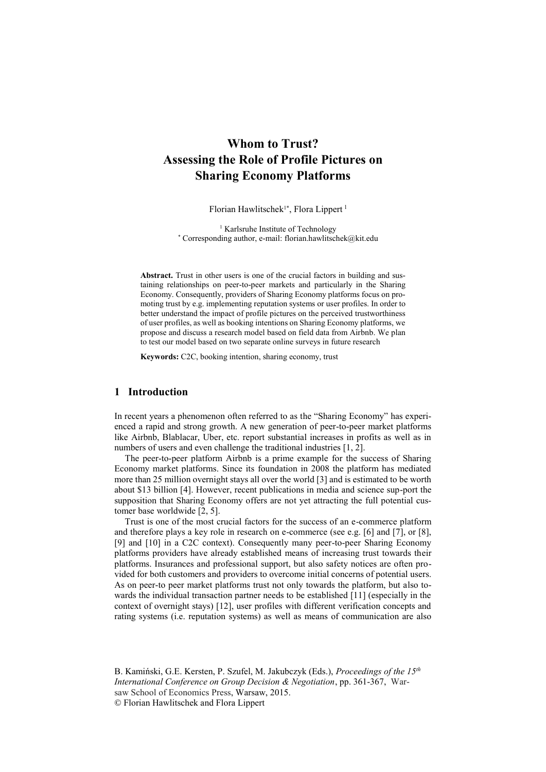# **Whom to Trust? Assessing the Role of Profile Pictures on Sharing Economy Platforms**

Florian Hawlitschek<sup>1\*</sup>, Flora Lippert<sup>1</sup>

<sup>1</sup> Karlsruhe Institute of Technology \* Corresponding author, e-mail: florian.hawlitschek@kit.edu

**Abstract.** Trust in other users is one of the crucial factors in building and sustaining relationships on peer-to-peer markets and particularly in the Sharing Economy. Consequently, providers of Sharing Economy platforms focus on promoting trust by e.g. implementing reputation systems or user profiles. In order to better understand the impact of profile pictures on the perceived trustworthiness of user profiles, as well as booking intentions on Sharing Economy platforms, we propose and discuss a research model based on field data from Airbnb. We plan to test our model based on two separate online surveys in future research

**Keywords:** C2C, booking intention, sharing economy, trust

## **1 Introduction**

In recent years a phenomenon often referred to as the "Sharing Economy" has experienced a rapid and strong growth. A new generation of peer-to-peer market platforms like Airbnb, Blablacar, Uber, etc. report substantial increases in profits as well as in numbers of users and even challenge the traditional industries [1, 2].

The peer-to-peer platform Airbnb is a prime example for the success of Sharing Economy market platforms. Since its foundation in 2008 the platform has mediated more than 25 million overnight stays all over the world [3] and is estimated to be worth about \$13 billion [4]. However, recent publications in media and science sup-port the supposition that Sharing Economy offers are not yet attracting the full potential customer base worldwide [2, 5].

Trust is one of the most crucial factors for the success of an e-commerce platform and therefore plays a key role in research on e-commerce (see e.g. [6] and [7], or [8], [9] and [10] in a C2C context). Consequently many peer-to-peer Sharing Economy platforms providers have already established means of increasing trust towards their platforms. Insurances and professional support, but also safety notices are often provided for both customers and providers to overcome initial concerns of potential users. As on peer-to peer market platforms trust not only towards the platform, but also towards the individual transaction partner needs to be established [11] (especially in the context of overnight stays) [12], user profiles with different verification concepts and rating systems (i.e. reputation systems) as well as means of communication are also

B. Kamiński, G.E. Kersten, P. Szufel, M. Jakubczyk (Eds.), *Proceedings of the 15th International Conference on Group Decision & Negotiation*, pp. 361-367, Warsaw School of Economics Press, Warsaw, 2015. © Florian Hawlitschek and Flora Lippert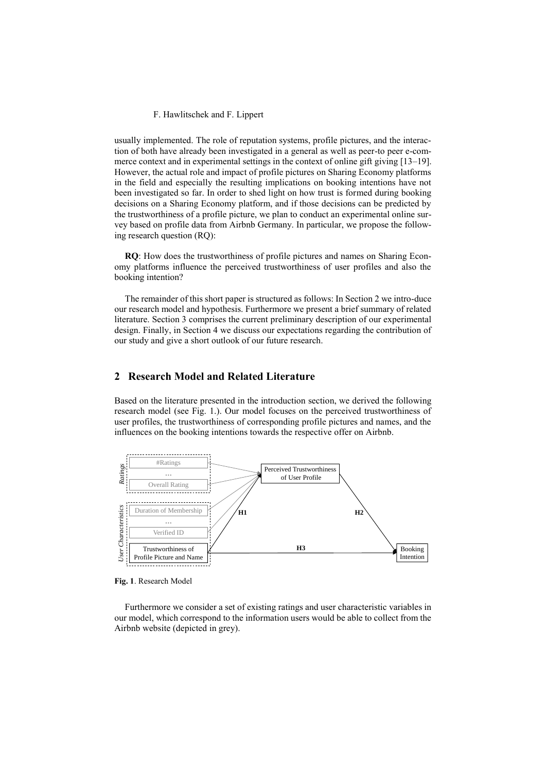#### F. Hawlitschek and F. Lippert

usually implemented. The role of reputation systems, profile pictures, and the interaction of both have already been investigated in a general as well as peer-to peer e-commerce context and in experimental settings in the context of online gift giving [13–19]. However, the actual role and impact of profile pictures on Sharing Economy platforms in the field and especially the resulting implications on booking intentions have not been investigated so far. In order to shed light on how trust is formed during booking decisions on a Sharing Economy platform, and if those decisions can be predicted by the trustworthiness of a profile picture, we plan to conduct an experimental online survey based on profile data from Airbnb Germany. In particular, we propose the following research question (RQ):

**RQ**: How does the trustworthiness of profile pictures and names on Sharing Economy platforms influence the perceived trustworthiness of user profiles and also the booking intention?

The remainder of this short paper is structured as follows: In Section 2 we intro-duce our research model and hypothesis. Furthermore we present a brief summary of related literature. Section 3 comprises the current preliminary description of our experimental design. Finally, in Section 4 we discuss our expectations regarding the contribution of our study and give a short outlook of our future research.

## **2 Research Model and Related Literature**

Based on the literature presented in the introduction section, we derived the following research model (see Fig. 1.). Our model focuses on the perceived trustworthiness of user profiles, the trustworthiness of corresponding profile pictures and names, and the influences on the booking intentions towards the respective offer on Airbnb.



**Fig. 1**. Research Model

Furthermore we consider a set of existing ratings and user characteristic variables in our model, which correspond to the information users would be able to collect from the Airbnb website (depicted in grey).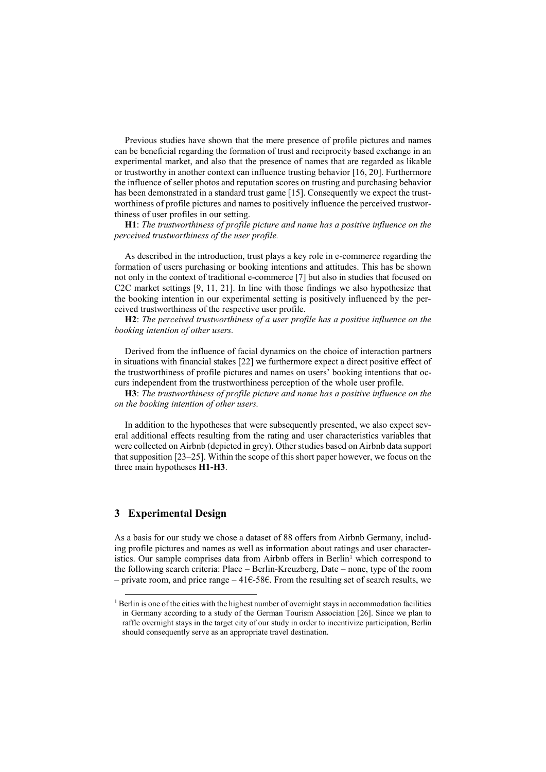Previous studies have shown that the mere presence of profile pictures and names can be beneficial regarding the formation of trust and reciprocity based exchange in an experimental market, and also that the presence of names that are regarded as likable or trustworthy in another context can influence trusting behavior [16, 20]. Furthermore the influence of seller photos and reputation scores on trusting and purchasing behavior has been demonstrated in a standard trust game [15]. Consequently we expect the trustworthiness of profile pictures and names to positively influence the perceived trustworthiness of user profiles in our setting.

**H1**: *The trustworthiness of profile picture and name has a positive influence on the perceived trustworthiness of the user profile.*

As described in the introduction, trust plays a key role in e-commerce regarding the formation of users purchasing or booking intentions and attitudes. This has be shown not only in the context of traditional e-commerce [7] but also in studies that focused on C2C market settings [9, 11, 21]. In line with those findings we also hypothesize that the booking intention in our experimental setting is positively influenced by the perceived trustworthiness of the respective user profile.

**H2**: *The perceived trustworthiness of a user profile has a positive influence on the booking intention of other users.*

Derived from the influence of facial dynamics on the choice of interaction partners in situations with financial stakes [22] we furthermore expect a direct positive effect of the trustworthiness of profile pictures and names on users' booking intentions that occurs independent from the trustworthiness perception of the whole user profile.

**H3**: *The trustworthiness of profile picture and name has a positive influence on the on the booking intention of other users.*

In addition to the hypotheses that were subsequently presented, we also expect several additional effects resulting from the rating and user characteristics variables that were collected on Airbnb (depicted in grey). Other studies based on Airbnb data support that supposition [23–25]. Within the scope of this short paper however, we focus on the three main hypotheses **H1-H3**.

### **3 Experimental Design**

-

As a basis for our study we chose a dataset of 88 offers from Airbnb Germany, including profile pictures and names as well as information about ratings and user characteristics. Our sample comprises data from Airbnb offers in Berlin<sup>1</sup> which correspond to the following search criteria: Place – Berlin-Kreuzberg, Date – none, type of the room – private room, and price range – 41€-58€. From the resulting set of search results, we

<sup>&</sup>lt;sup>1</sup> Berlin is one of the cities with the highest number of overnight stays in accommodation facilities in Germany according to a study of the German Tourism Association [26]. Since we plan to raffle overnight stays in the target city of our study in order to incentivize participation, Berlin should consequently serve as an appropriate travel destination.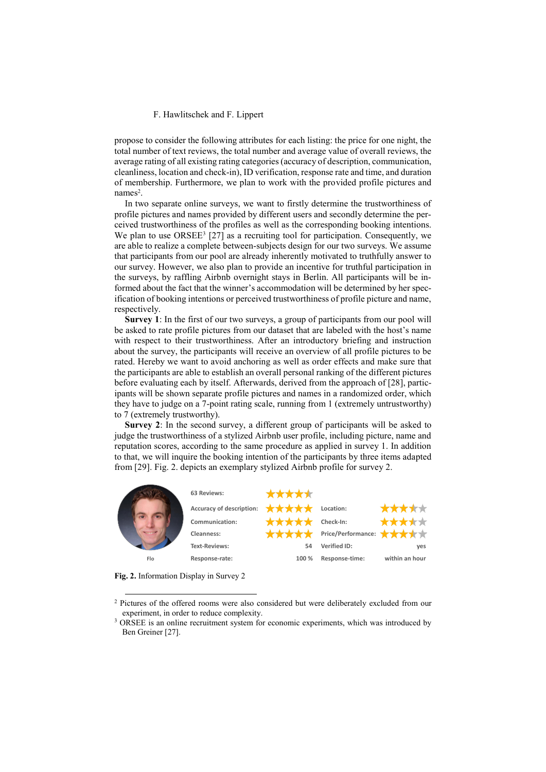#### F. Hawlitschek and F. Lippert

propose to consider the following attributes for each listing: the price for one night, the total number of text reviews, the total number and average value of overall reviews, the average rating of all existing rating categories (accuracy of description, communication, cleanliness, location and check-in), ID verification, response rate and time, and duration of membership. Furthermore, we plan to work with the provided profile pictures and names<sup>2</sup>.

In two separate online surveys, we want to firstly determine the trustworthiness of profile pictures and names provided by different users and secondly determine the perceived trustworthiness of the profiles as well as the corresponding booking intentions. We plan to use ORSEE<sup>3</sup> [27] as a recruiting tool for participation. Consequently, we are able to realize a complete between-subjects design for our two surveys. We assume that participants from our pool are already inherently motivated to truthfully answer to our survey. However, we also plan to provide an incentive for truthful participation in the surveys, by raffling Airbnb overnight stays in Berlin. All participants will be informed about the fact that the winner's accommodation will be determined by her specification of booking intentions or perceived trustworthiness of profile picture and name, respectively.

**Survey 1**: In the first of our two surveys, a group of participants from our pool will be asked to rate profile pictures from our dataset that are labeled with the host's name with respect to their trustworthiness. After an introductory briefing and instruction about the survey, the participants will receive an overview of all profile pictures to be rated. Hereby we want to avoid anchoring as well as order effects and make sure that the participants are able to establish an overall personal ranking of the different pictures before evaluating each by itself. Afterwards, derived from the approach of [28], participants will be shown separate profile pictures and names in a randomized order, which they have to judge on a 7-point rating scale, running from 1 (extremely untrustworthy) to 7 (extremely trustworthy).

**Survey 2**: In the second survey, a different group of participants will be asked to judge the trustworthiness of a stylized Airbnb user profile, including picture, name and reputation scores, according to the same procedure as applied in survey 1. In addition to that, we will inquire the booking intention of the participants by three items adapted from [29]. Fig. 2. depicts an exemplary stylized Airbnb profile for survey 2.



**Fig. 2.** Information Display in Survey 2

1

<sup>&</sup>lt;sup>2</sup> Pictures of the offered rooms were also considered but were deliberately excluded from our experiment, in order to reduce complexity.

<sup>&</sup>lt;sup>3</sup> ORSEE is an online recruitment system for economic experiments, which was introduced by Ben Greiner [27].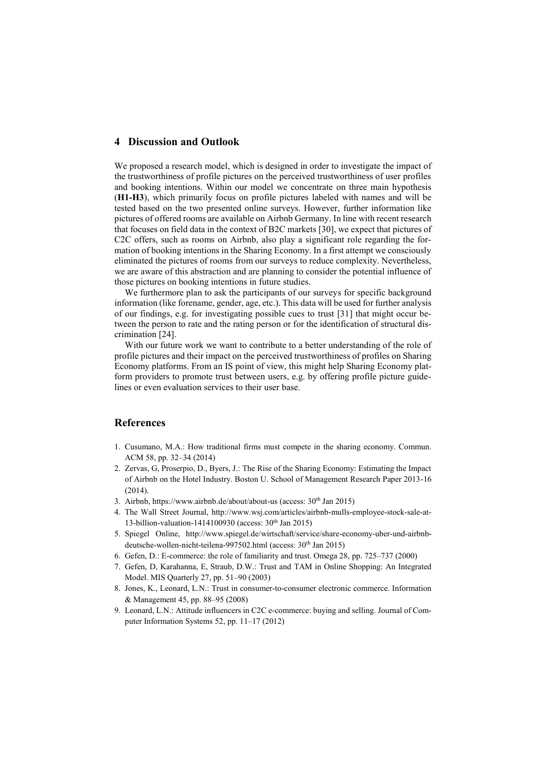#### **4 Discussion and Outlook**

We proposed a research model, which is designed in order to investigate the impact of the trustworthiness of profile pictures on the perceived trustworthiness of user profiles and booking intentions. Within our model we concentrate on three main hypothesis (**H1-H3**), which primarily focus on profile pictures labeled with names and will be tested based on the two presented online surveys. However, further information like pictures of offered rooms are available on Airbnb Germany. In line with recent research that focuses on field data in the context of B2C markets [30], we expect that pictures of C2C offers, such as rooms on Airbnb, also play a significant role regarding the formation of booking intentions in the Sharing Economy. In a first attempt we consciously eliminated the pictures of rooms from our surveys to reduce complexity. Nevertheless, we are aware of this abstraction and are planning to consider the potential influence of those pictures on booking intentions in future studies.

We furthermore plan to ask the participants of our surveys for specific background information (like forename, gender, age, etc.). This data will be used for further analysis of our findings, e.g. for investigating possible cues to trust [31] that might occur between the person to rate and the rating person or for the identification of structural discrimination [24].

With our future work we want to contribute to a better understanding of the role of profile pictures and their impact on the perceived trustworthiness of profiles on Sharing Economy platforms. From an IS point of view, this might help Sharing Economy platform providers to promote trust between users, e.g. by offering profile picture guidelines or even evaluation services to their user base.

## **References**

- 1. Cusumano, M.A.: How traditional firms must compete in the sharing economy. Commun. ACM 58, pp. 32–34 (2014)
- 2. Zervas, G, Proserpio, D., Byers, J.: The Rise of the Sharing Economy: Estimating the Impact of Airbnb on the Hotel Industry. Boston U. School of Management Research Paper 2013-16  $(2014)$
- 3. Airbnb, https://www.airbnb.de/about/about-us (access: 30th Jan 2015)
- 4. The Wall Street Journal, http://www.wsj.com/articles/airbnb-mulls-employee-stock-sale-at-13-billion-valuation-1414100930 (access: 30th Jan 2015)
- 5. Spiegel Online, http://www.spiegel.de/wirtschaft/service/share-economy-uber-und-airbnbdeutsche-wollen-nicht-teilena-997502.html (access: 30<sup>th</sup> Jan 2015)
- 6. Gefen, D.: E-commerce: the role of familiarity and trust. Omega 28, pp. 725–737 (2000)
- 7. Gefen, D, Karahanna, E, Straub, D.W.: Trust and TAM in Online Shopping: An Integrated Model. MIS Quarterly 27, pp. 51–90 (2003)
- 8. Jones, K., Leonard, L.N.: Trust in consumer-to-consumer electronic commerce. Information & Management 45, pp. 88–95 (2008)
- 9. Leonard, L.N.: Attitude influencers in C2C e-commerce: buying and selling. Journal of Computer Information Systems 52, pp. 11–17 (2012)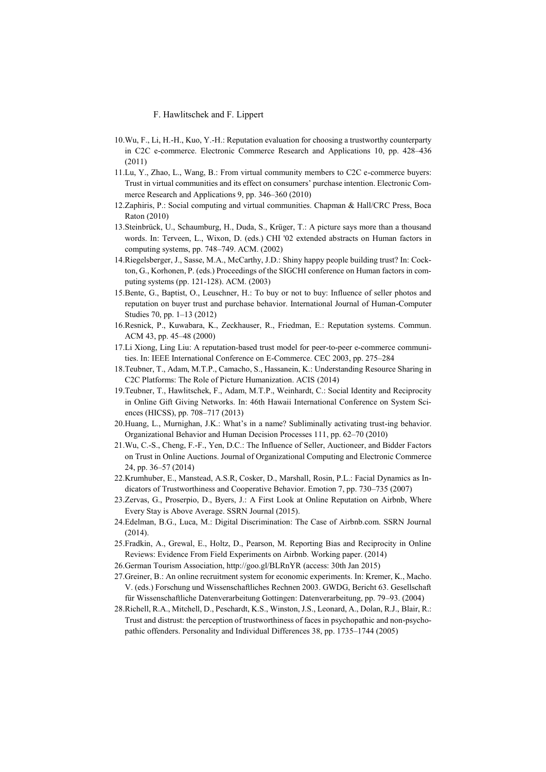#### F. Hawlitschek and F. Lippert

- 10.Wu, F., Li, H.-H., Kuo, Y.-H.: Reputation evaluation for choosing a trustworthy counterparty in C2C e-commerce. Electronic Commerce Research and Applications 10, pp. 428–436 (2011)
- 11.Lu, Y., Zhao, L., Wang, B.: From virtual community members to C2C e-commerce buyers: Trust in virtual communities and its effect on consumers' purchase intention. Electronic Commerce Research and Applications 9, pp. 346–360 (2010)
- 12.Zaphiris, P.: Social computing and virtual communities. Chapman & Hall/CRC Press, Boca Raton (2010)
- 13.Steinbrück, U., Schaumburg, H., Duda, S., Krüger, T.: A picture says more than a thousand words. In: Terveen, L., Wixon, D. (eds.) CHI '02 extended abstracts on Human factors in computing systems, pp. 748–749. ACM. (2002)
- 14.Riegelsberger, J., Sasse, M.A., McCarthy, J.D.: Shiny happy people building trust? In: Cockton, G., Korhonen, P. (eds.) Proceedings of the SIGCHI conference on Human factors in computing systems (pp. 121-128). ACM. (2003)
- 15.Bente, G., Baptist, O., Leuschner, H.: To buy or not to buy: Influence of seller photos and reputation on buyer trust and purchase behavior. International Journal of Human-Computer Studies 70, pp. 1–13 (2012)
- 16.Resnick, P., Kuwabara, K., Zeckhauser, R., Friedman, E.: Reputation systems. Commun. ACM 43, pp. 45–48 (2000)
- 17.Li Xiong, Ling Liu: A reputation-based trust model for peer-to-peer e-commerce communities. In: IEEE International Conference on E-Commerce. CEC 2003, pp. 275–284
- 18.Teubner, T., Adam, M.T.P., Camacho, S., Hassanein, K.: Understanding Resource Sharing in C2C Platforms: The Role of Picture Humanization. ACIS (2014)
- 19.Teubner, T., Hawlitschek, F., Adam, M.T.P., Weinhardt, C.: Social Identity and Reciprocity in Online Gift Giving Networks. In: 46th Hawaii International Conference on System Sciences (HICSS), pp. 708–717 (2013)
- 20.Huang, L., Murnighan, J.K.: What's in a name? Subliminally activating trust-ing behavior. Organizational Behavior and Human Decision Processes 111, pp. 62–70 (2010)
- 21.Wu, C.-S., Cheng, F.-F., Yen, D.C.: The Influence of Seller, Auctioneer, and Bidder Factors on Trust in Online Auctions. Journal of Organizational Computing and Electronic Commerce 24, pp. 36–57 (2014)
- 22.Krumhuber, E., Manstead, A.S.R, Cosker, D., Marshall, Rosin, P.L.: Facial Dynamics as Indicators of Trustworthiness and Cooperative Behavior. Emotion 7, pp. 730–735 (2007)
- 23.Zervas, G., Proserpio, D., Byers, J.: A First Look at Online Reputation on Airbnb, Where Every Stay is Above Average. SSRN Journal (2015).
- 24.Edelman, B.G., Luca, M.: Digital Discrimination: The Case of Airbnb.com. SSRN Journal (2014).
- 25.Fradkin, A., Grewal, E., Holtz, D., Pearson, M. Reporting Bias and Reciprocity in Online Reviews: Evidence From Field Experiments on Airbnb. Working paper. (2014)
- 26.German Tourism Association, http://goo.gl/BLRnYR (access: 30th Jan 2015)
- 27.Greiner, B.: An online recruitment system for economic experiments. In: Kremer, K., Macho. V. (eds.) Forschung und Wissenschaftliches Rechnen 2003. GWDG, Bericht 63. Gesellschaft für Wissenschaftliche Datenverarbeitung Gottingen: Datenverarbeitung, pp. 79–93. (2004)
- 28.Richell, R.A., Mitchell, D., Peschardt, K.S., Winston, J.S., Leonard, A., Dolan, R.J., Blair, R.: Trust and distrust: the perception of trustworthiness of faces in psychopathic and non-psychopathic offenders. Personality and Individual Differences 38, pp. 1735–1744 (2005)